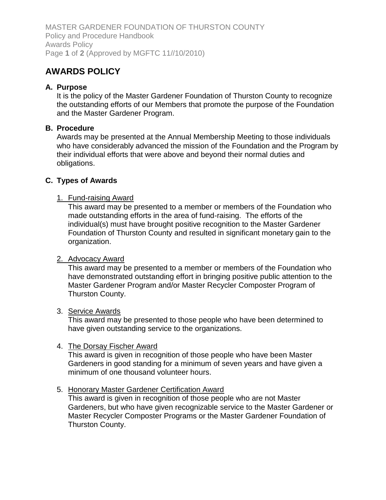MASTER GARDENER FOUNDATION OF THURSTON COUNTY Policy and Procedure Handbook Awards Policy Page **1** of **2** (Approved by MGFTC 11//10/2010)

# **AWARDS POLICY**

# **A. Purpose**

It is the policy of the Master Gardener Foundation of Thurston County to recognize the outstanding efforts of our Members that promote the purpose of the Foundation and the Master Gardener Program.

# **B. Procedure**

Awards may be presented at the Annual Membership Meeting to those individuals who have considerably advanced the mission of the Foundation and the Program by their individual efforts that were above and beyond their normal duties and obligations.

# **C. Types of Awards**

#### 1. Fund-raising Award

This award may be presented to a member or members of the Foundation who made outstanding efforts in the area of fund-raising. The efforts of the individual(s) must have brought positive recognition to the Master Gardener Foundation of Thurston County and resulted in significant monetary gain to the organization.

#### 2. Advocacy Award

This award may be presented to a member or members of the Foundation who have demonstrated outstanding effort in bringing positive public attention to the Master Gardener Program and/or Master Recycler Composter Program of Thurston County.

#### 3. Service Awards

This award may be presented to those people who have been determined to have given outstanding service to the organizations.

#### 4. The Dorsay Fischer Award

This award is given in recognition of those people who have been Master Gardeners in good standing for a minimum of seven years and have given a minimum of one thousand volunteer hours.

#### 5. Honorary Master Gardener Certification Award

This award is given in recognition of those people who are not Master Gardeners, but who have given recognizable service to the Master Gardener or Master Recycler Composter Programs or the Master Gardener Foundation of Thurston County.